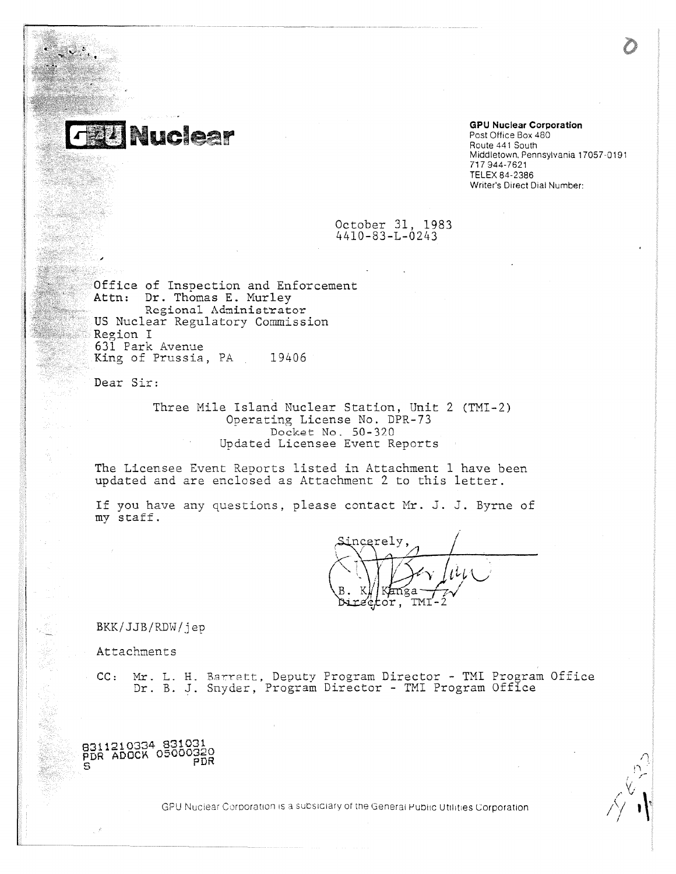

# **GPU Nuclear Corporation** Post Office Box 480 Route 441 South

Middletown, Pennsylvania 17057-0191 717 944-7621 TELEX 84-2386 Writer's Direct Dial Number:

October 31, 1983 4410-83-L-0243

Office of Inspection and Enforcement Attn: Dr. Thomas E. Murley Regional Administrator US Nuclear Regulatory Commission Region I 631 Park Avenue King of Prussia, PA 19406

Dear Sir:

Three Mile Island Nuclear Station, Unit 2 (TMI-2) Operating License No. DPR-73 Docket No. 50 -320 Updated Licensee Event Reports

The Licensee Event Reports listed in Attachment 1 have been updated and are enclosed as Attachment 2 to this letter.

If you have any questions, please contact Mr. J. J. Byrne of my staff.

ncerely <u>'TMI</u> tor,

BKK/JJB/RDW/jeP

8311210334 831031<br>PDR ADOCK 05000320

PDR

Attachments

CC: Mr. L. H. Barrett, Deputy Program Director - TMI Program Office Dr. B. J. Snyder, Program Director - TMI Program Office

GPU Nuclear Corporation is a subsidiary of the General Public Utilities Corporation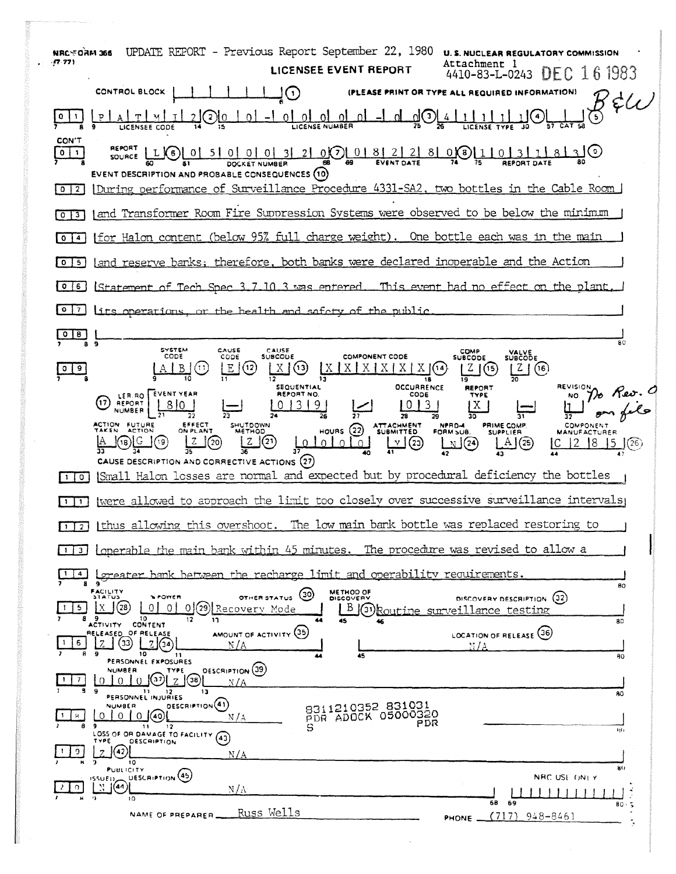| UPDATE REPORT - Previous Report September 22, 1980<br><b>BBC MAG WAR</b><br><b>U. S. NUCLEAR REGULATORY COMMISSION</b><br>(7.77)<br>Attachment l<br>LICENSEE EVENT REPORT<br>4410-83-L-0243 DEC 16 1983                                                                      |
|------------------------------------------------------------------------------------------------------------------------------------------------------------------------------------------------------------------------------------------------------------------------------|
| CONTROL BLOCK<br>$\left( \cdot \right)$<br>(PLEASE PRINT OR TYPE ALL REQUIRED INFORMATION)                                                                                                                                                                                   |
| $35\,$<br>0 0 0 0 0 0<br>لا $\mathbb{U}$<br>$^{(2)0}$<br><u>. വ</u><br>$\Omega$                                                                                                                                                                                              |
| CON'T<br>SOURCE LG 0 5 0 0 0 0 3 2 0 0 0 8 2 2 8 0 0 1 5 1 0 3 1<br>$\bullet$<br>EVENT DESCRIPTION AND PROBABLE CONSEQUENCES (10)                                                                                                                                            |
| During performance of Surveillance Procedure 4331-SA2, two bottles in the Cable Room<br>0121                                                                                                                                                                                 |
| and Transformer Room Fire Suppression Systems were observed to be below the minimum<br>$\mathbf{O}$<br>$^{\circ}$                                                                                                                                                            |
| (for Halon content (below 95% full charge weight). One bottle each was in the main<br>$\blacktriangle$<br>٥                                                                                                                                                                  |
| land reserve banks; therefore, both banks were declared inoperable and the Action<br>5 <sub>1</sub><br>$\circ$                                                                                                                                                               |
| Statement of Tech Spec 3.7.10.3 was entered. This event had no effect on the plant.<br>1 O<br>6.                                                                                                                                                                             |
| $^{\circ}$<br>7 <sup>1</sup><br>lifs operations, or the health and safety of the public                                                                                                                                                                                      |
| $\circ$<br>$\lfloor 8 \rfloor$<br>BС<br>8 <sub>9</sub>                                                                                                                                                                                                                       |
| SYSTEM<br>CAUSE<br>CAUSE<br><b>COMP</b><br>VALVE<br>SUBCODE<br><b>COMPONENT CODE</b><br>CODE<br><b>SUBCODE</b><br>CODE<br><b>SUBCODE</b><br>(12)<br>(13)<br>$X \mid$<br>XXXX<br>Z(6)<br>IX.<br>$\mathbf{X}$<br>9<br>(14)<br>(15<br>o<br><b>OCCURRENCE</b><br><b>REVISION</b> |
| <b>SEQUENTIAL</b><br><b>REPORT</b><br><b>EVENT YEAR</b><br>REPORT NO.<br>CODE<br>TYPE<br>LER RO<br>NO.<br>(17<br>REPORT<br>3191<br>3 <sup>1</sup><br>$X \mid$<br><b>NUMBER</b>                                                                                               |
| ACTION FUTURE<br>EFFECT<br>SHUTDOWN<br><b>ITTACHMENT</b><br>SUBMITTED<br>PRIME COMP.<br>NPRD-4<br>COMPONENT<br>HOURS $(22)$<br>ON PLANT<br>FORM SUB.<br><b>SUPPLIER</b>                                                                                                      |
| (21)<br>$\underline{v}$ (23)<br>$\sqrt{20}$<br>Z<br>(19)<br>ΙZ<br>$\mathbb{N}$ (24)<br>A(25)<br> 8<br>(18)<br>(26)                                                                                                                                                           |
| CAUSE DESCRIPTION AND CORRECTIVE ACTIONS (27)<br>Small Halon losses are normal and expected but by procedural deficiency the bottles<br>$\circ$                                                                                                                              |
| were allowed to approach the limit too closely over successive surveillance intervals<br>1.                                                                                                                                                                                  |
| thus allowing this overshoot. The low main bank bottle was replaced restoring to<br>$\overline{2}$                                                                                                                                                                           |
| loperable the main bank within 45 minutes. The procedure was revised to allow a<br>-3 i                                                                                                                                                                                      |
| <u>oreater bank between the recharge limit and operability requirements.</u><br>$\sim$<br>۰                                                                                                                                                                                  |
| 80<br><b>FACILITY</b><br><b>METHOD OF</b><br>(30)<br>STATUS<br><b>NPOWER</b><br>OTHER STATUS<br>DISCOVERY DESCRIPTION (32)<br><b>DISCOVERY</b><br>(28)<br>0 (29) Recovery Mode<br>Х<br>$\Omega$<br>5<br>ΩI<br>B (31) Routine surveillance testing                            |
| 89<br>10<br>12<br>13<br>45<br>80<br>ACTIVITY CONTENT<br>AMOUNT OF ACTIVITY (35)<br>RELEASED OF RELEASE<br>LOCATION OF RELEASE (36)                                                                                                                                           |
| 33<br>6<br>'34<br>N / A<br>NЛА<br>10<br>-11<br>45<br>80                                                                                                                                                                                                                      |
| PERSONNEL EXPOSURES<br>DESCRIPTION (39)<br>NUMBER<br>TYPE<br>(37)<br>7<br>(38)<br>$\Omega$<br>$\Omega$<br>N / A<br>13<br>11<br>12<br>RO.                                                                                                                                     |
| PERSONNEL INJURIES<br><b>DESCRIPTION</b> (41)<br>9311210352 831031<br><b>NUMBER</b><br>PDR ADOCK 05000320<br>$\Omega$<br>$\Omega$ 1<br>$0$ $(40)$<br>н<br>N/A                                                                                                                |
| PDR<br>9<br>-11<br>12<br>s<br>141<br>LOSS OF OR DAMAGE TO FACILITY<br>(43)<br>TYPE<br>DESCRIPTION                                                                                                                                                                            |
| (42<br>9.<br>N/A<br>റ<br>10<br>80                                                                                                                                                                                                                                            |
| <b>PUBLICITY</b><br>UESCRIPTION <sup>(45)</sup><br>NRC USE ONLY<br>155UED<br>1(44)<br>n.<br>$N/\Lambda$                                                                                                                                                                      |
| $\rightarrow$<br>10<br>68<br>69<br>80.5<br><u>Russ Wells</u><br>NAME OF PREPARER<br>(717)<br>-948-8461<br>PHONE _                                                                                                                                                            |
|                                                                                                                                                                                                                                                                              |

 $\bullet$  :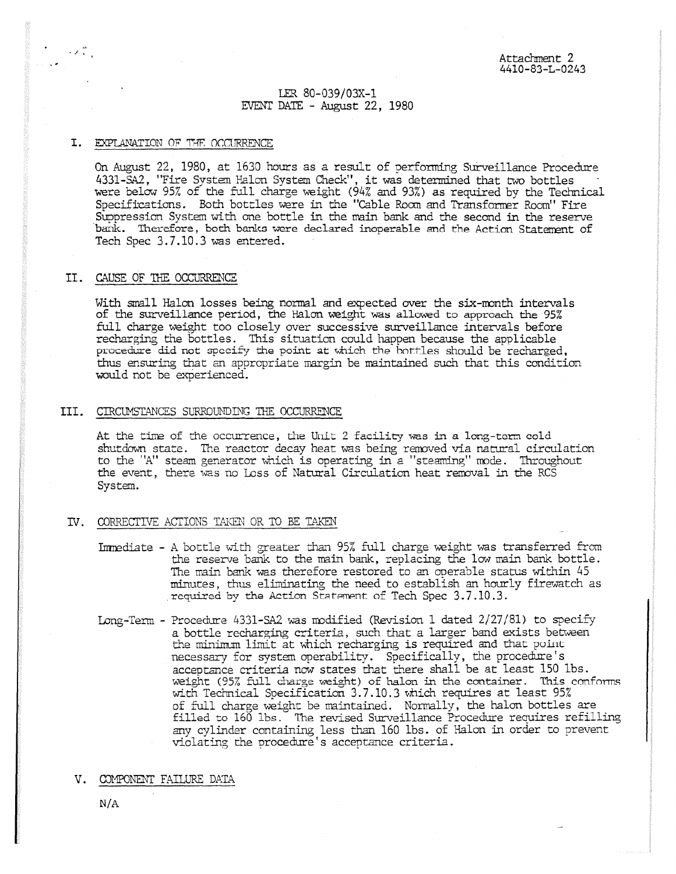## LER 80-039/03X-1 EVENT DATE - August 22, 1980

#### I. EXPLANATION OF 74F OCCURRENCE

 $\mathcal{L}(\mathcal{E})$ 

On August 22, 1980, at 1630 hours as a result of performing Surveillance Procedure 4331-SA2, "Fire System Balm System Check", it was determined that two bottles were below 95% of the full charge weight (94% and 93%) as required by the Technical Specifications. Both bottles were in the "Cable Room and Transformer Room" Fire Suppression System with one bottle in the main bank and the second in the reserve bank. Therefore, both banks were declared inoperable and the Action Statement of Tech Spec 3.7.10.3 was entered.

#### II. CAUSE OF THE OCCURRENCE

With small Halon losses being normal and expected over the six-month intervals of the surveillance period, the Halm weight was allowed to approach the 95% full charge weight too closely over successive surveillance intervals before recharging the bottles. This situation could happen because the applicable procedure did not specify the point at which the bottles should be recharged, thus ensuring that an appropriate margin be maintained such that this condition would not be experienced.

#### III. CTRCUMSTANCES SURROUNDING THE OCCURRENCE

At the time of the occurrence, the Unit 2 facility was in a long-term cold shutdown state. The reactor decay heat was being removed via natural circulation to the 'A" steam generator which is operating in a "steaming" mode. Throughout the event, there was no Loss of Natural Circulation heat removal in the RCS System.

## IV. CORRECTIVE ACTIONS TAKEN OR TO BE TAKEN

- Immediate A bottle with greater than 95% full charge weight was transferred from the reserve bank to the rain bank, replacing the low rain bank bottle. The rain bank was therefore restored to an operable status within 45 minutes, thus eliminating the need to establish an hourly firewatch as required by the Action Statement of Tech Spec 3.7.10.3.
- Long-Term Procedure 4331-SA2 was modified (Revision 1 dated 2/27/81) to specify a bottle recharging criteria, such that a larger band exists between the minimum limit at which recharging is required and that point necessary for system operability. Specifically, the procedure's acceptance criteria now states that there shall be at least 150 lbs. weight (95% full Charge weight) of halon in the container. This conforms with Technical Specification 3.7.10.3 which requires at least 95% of full Marge weight be maintained. Normally, the halan bottles are filled to 160 lbs. The revised Surveillance Procedure requires refilling any cylinder containing less than 160 lbs. of Halm in order to prevent violating the procedure's acceptance criteria.
- V. COMPONENT FAILURE DATA